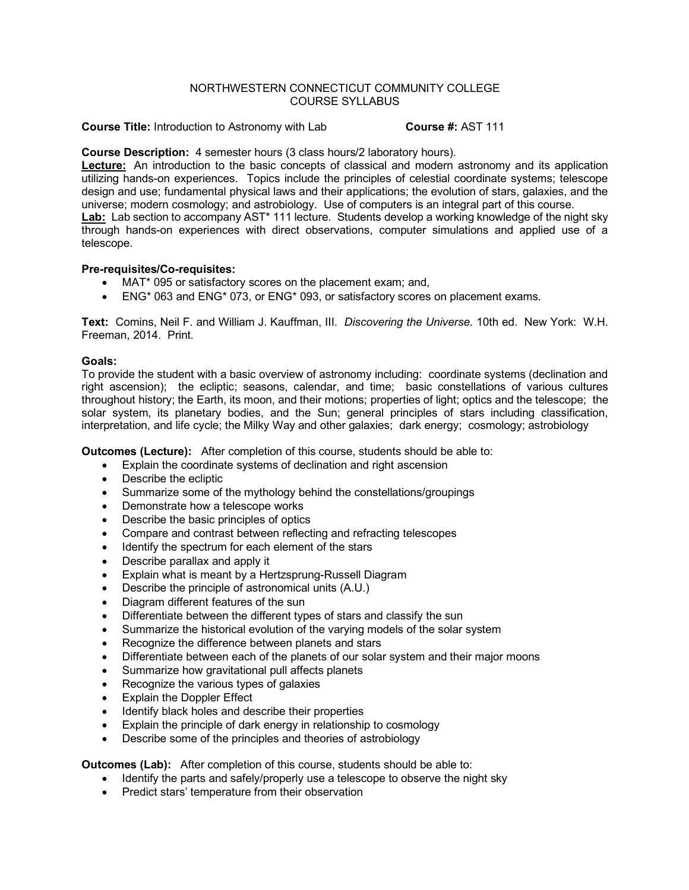# NORTHWESTERN CONNECTICUT COMMUNITY COLLEGE COURSE SYLLABUS

**Course Title:** Introduction to Astronomy with Lab **Course #:** AST 111

# **Course Description:** 4 semester hours (3 class hours/2 laboratory hours).

**Lecture:** An introduction to the basic concepts of classical and modern astronomy and its application utilizing hands-on experiences. Topics include the principles of celestial coordinate systems; telescope design and use; fundamental physical laws and their applications; the evolution of stars, galaxies, and the universe; modern cosmology; and astrobiology. Use of computers is an integral part of this course. **Lab:** Lab section to accompany AST\* 111 lecture. Students develop a working knowledge of the night sky through hands-on experiences with direct observations, computer simulations and applied use of a telescope.

# **Pre-requisites/Co-requisites:**

- MAT\* 095 or satisfactory scores on the placement exam; and,
- ENG\* 063 and ENG\* 073, or ENG\* 093, or satisfactory scores on placement exams.

**Text:** Comins, Neil F. and William J. Kauffman, III. *Discovering the Universe.* 10th ed. New York: W.H. Freeman, 2014. Print.

# **Goals:**

To provide the student with a basic overview of astronomy including: coordinate systems (declination and right ascension); the ecliptic; seasons, calendar, and time; basic constellations of various cultures throughout history; the Earth, its moon, and their motions; properties of light; optics and the telescope; the solar system, its planetary bodies, and the Sun; general principles of stars including classification, interpretation, and life cycle; the Milky Way and other galaxies; dark energy; cosmology; astrobiology

**Outcomes (Lecture):** After completion of this course, students should be able to:

- Explain the coordinate systems of declination and right ascension
- Describe the ecliptic
- Summarize some of the mythology behind the constellations/groupings
- Demonstrate how a telescope works
- Describe the basic principles of optics
- Compare and contrast between reflecting and refracting telescopes
- Identify the spectrum for each element of the stars
- Describe parallax and apply it
- Explain what is meant by a Hertzsprung-Russell Diagram
- Describe the principle of astronomical units (A.U.)
- Diagram different features of the sun
- Differentiate between the different types of stars and classify the sun
- Summarize the historical evolution of the varying models of the solar system
- Recognize the difference between planets and stars
- Differentiate between each of the planets of our solar system and their major moons
- Summarize how gravitational pull affects planets
- Recognize the various types of galaxies
- **Explain the Doppler Effect**
- Identify black holes and describe their properties
- Explain the principle of dark energy in relationship to cosmology
- Describe some of the principles and theories of astrobiology

**Outcomes (Lab):** After completion of this course, students should be able to:

- Identify the parts and safely/properly use a telescope to observe the night sky
- Predict stars' temperature from their observation